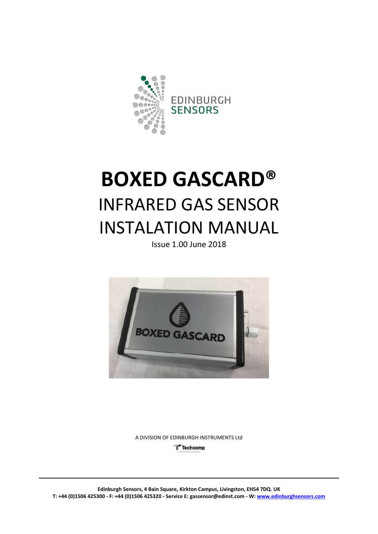

# BOXED GASCARD® INFRARED GAS SENSOR INSTALATION MANUAL

Issue 1.00 June 2018



A DIVISION OF EDINBURGH INSTRUMENTS Ltd

Techcomp A TechComp Company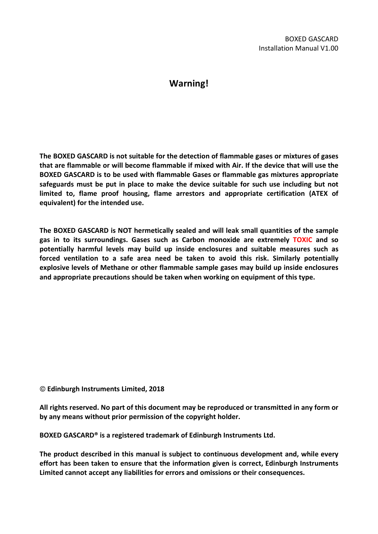## Warning!

The BOXED GASCARD is not suitable for the detection of flammable gases or mixtures of gases that are flammable or will become flammable if mixed with Air. If the device that will use the BOXED GASCARD is to be used with flammable Gases or flammable gas mixtures appropriate safeguards must be put in place to make the device suitable for such use including but not limited to, flame proof housing, flame arrestors and appropriate certification (ATEX of equivalent) for the intended use.

The BOXED GASCARD is NOT hermetically sealed and will leak small quantities of the sample gas in to its surroundings. Gases such as Carbon monoxide are extremely TOXIC and so potentially harmful levels may build up inside enclosures and suitable measures such as forced ventilation to a safe area need be taken to avoid this risk. Similarly potentially explosive levels of Methane or other flammable sample gases may build up inside enclosures and appropriate precautions should be taken when working on equipment of this type.

Edinburgh Instruments Limited, 2018

All rights reserved. No part of this document may be reproduced or transmitted in any form or by any means without prior permission of the copyright holder.

BOXED GASCARD® is a registered trademark of Edinburgh Instruments Ltd.

The product described in this manual is subject to continuous development and, while every effort has been taken to ensure that the information given is correct, Edinburgh Instruments Limited cannot accept any liabilities for errors and omissions or their consequences.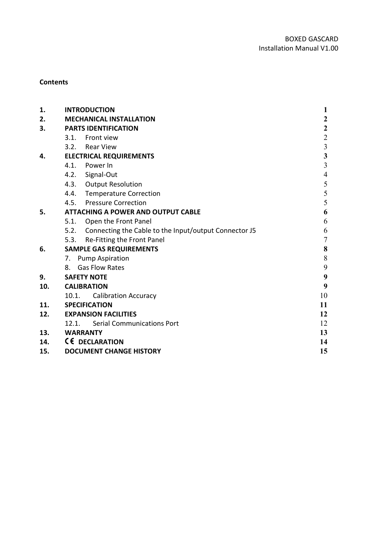### **Contents**

| 1.  | <b>INTRODUCTION</b>                                        | 1                |
|-----|------------------------------------------------------------|------------------|
| 2.  | <b>MECHANICAL INSTALLATION</b>                             | $\boldsymbol{2}$ |
| 3.  | <b>PARTS IDENTIFICATION</b>                                | $\boldsymbol{2}$ |
|     | Front view<br>3.1.                                         | $\overline{2}$   |
|     | 3.2. Rear View                                             | $\overline{3}$   |
| 4.  | <b>ELECTRICAL REQUIREMENTS</b>                             | $\mathbf{3}$     |
|     | 4.1.<br>Power In                                           | $\overline{3}$   |
|     | 4.2. Signal-Out                                            | $\overline{4}$   |
|     | 4.3. Output Resolution                                     | $\mathfrak s$    |
|     | 4.4. Temperature Correction                                | 5                |
|     | 4.5. Pressure Correction                                   | 5                |
| 5.  | <b>ATTACHING A POWER AND OUTPUT CABLE</b>                  | 6                |
|     | 5.1. Open the Front Panel                                  | 6                |
|     | 5.2. Connecting the Cable to the Input/output Connector J5 | 6                |
|     | Re-Fitting the Front Panel<br>5.3.                         | $\overline{7}$   |
| 6.  | <b>SAMPLE GAS REQUIREMENTS</b>                             | 8                |
|     | <b>Pump Aspiration</b><br>7.                               | $\,8\,$          |
|     | <b>Gas Flow Rates</b><br>8.                                | 9                |
| 9.  | <b>SAFETY NOTE</b>                                         | 9                |
| 10. | <b>CALIBRATION</b>                                         |                  |
|     | 10.1.<br><b>Calibration Accuracy</b>                       | 10               |
| 11. | <b>SPECIFICATION</b>                                       | 11               |
| 12. | <b>EXPANSION FACILITIES</b>                                |                  |
|     | <b>Serial Communications Port</b><br>12.1.                 | 12               |
| 13. | <b>WARRANTY</b>                                            | 13               |
| 14. | <b>CE DECLARATION</b>                                      | 14               |
| 15. | <b>DOCUMENT CHANGE HISTORY</b>                             | 15               |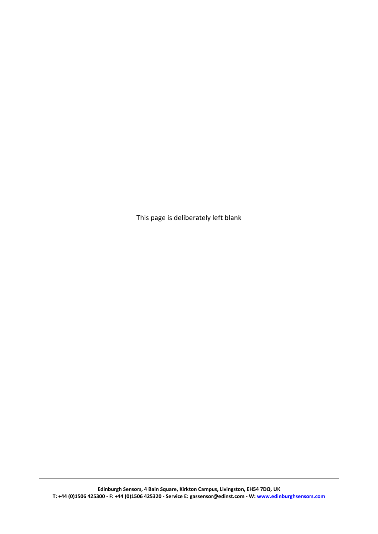This page is deliberately left blank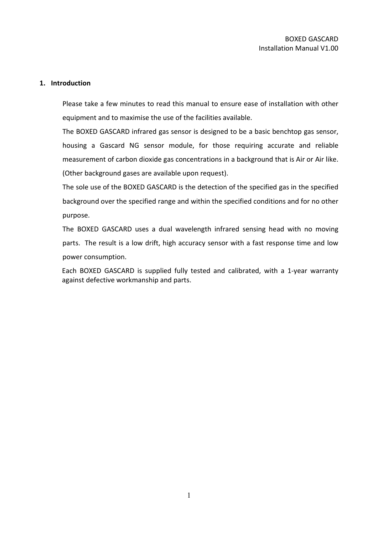#### 1. Introduction

Please take a few minutes to read this manual to ensure ease of installation with other equipment and to maximise the use of the facilities available.

The BOXED GASCARD infrared gas sensor is designed to be a basic benchtop gas sensor, housing a Gascard NG sensor module, for those requiring accurate and reliable measurement of carbon dioxide gas concentrations in a background that is Air or Air like. (Other background gases are available upon request).

The sole use of the BOXED GASCARD is the detection of the specified gas in the specified background over the specified range and within the specified conditions and for no other purpose.

The BOXED GASCARD uses a dual wavelength infrared sensing head with no moving parts. The result is a low drift, high accuracy sensor with a fast response time and low power consumption.

Each BOXED GASCARD is supplied fully tested and calibrated, with a 1-year warranty against defective workmanship and parts.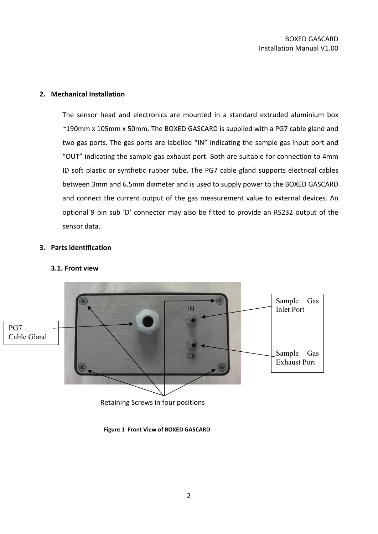#### 2. Mechanical Installation

The sensor head and electronics are mounted in a standard extruded aluminium box ~190mm x 105mm x 50mm. The BOXED GASCARD is supplied with a PG7 cable gland and two gas ports. The gas ports are labelled "IN" indicating the sample gas input port and "OUT" indicating the sample gas exhaust port. Both are suitable for connection to 4mm ID soft plastic or synthetic rubber tube. The PG7 cable gland supports electrical cables between 3mm and 6.5mm diameter and is used to supply power to the BOXED GASCARD and connect the current output of the gas measurement value to external devices. An optional 9 pin sub 'D' connector may also be fitted to provide an RS232 output of the sensor data.

#### 3. Parts identification

#### 3.1. Front view



Retaining Screws in four positions

Figure 1 Front View of BOXED GASCARD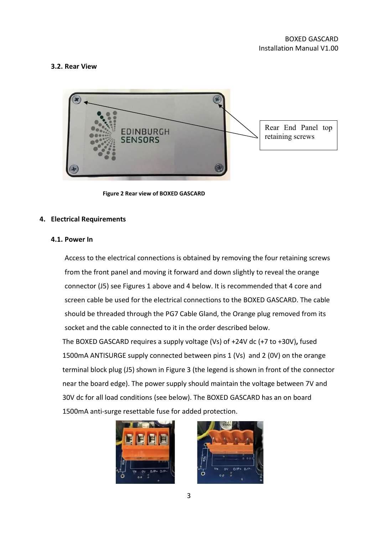#### 3.2. Rear View



Figure 2 Rear view of BOXED GASCARD

#### 4. Electrical Requirements

#### 4.1. Power In

Access to the electrical connections is obtained by removing the four retaining screws from the front panel and moving it forward and down slightly to reveal the orange connector (J5) see Figures 1 above and 4 below. It is recommended that 4 core and screen cable be used for the electrical connections to the BOXED GASCARD. The cable should be threaded through the PG7 Cable Gland, the Orange plug removed from its socket and the cable connected to it in the order described below.

The BOXED GASCARD requires a supply voltage (Vs) of +24V dc (+7 to +30V), fused 1500mA ANTISURGE supply connected between pins 1 (Vs) and 2 (0V) on the orange terminal block plug (J5) shown in Figure 3 (the legend is shown in front of the connector near the board edge). The power supply should maintain the voltage between 7V and 30V dc for all load conditions (see below). The BOXED GASCARD has an on board 1500mA anti-surge resettable fuse for added protection.



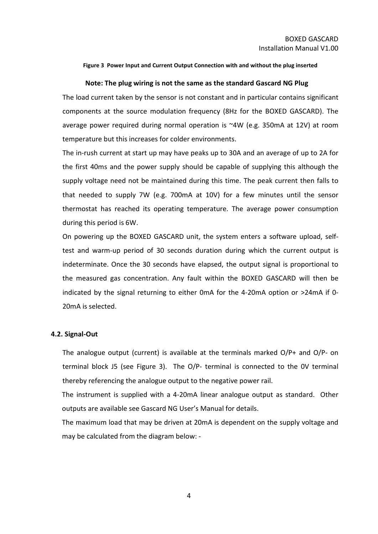#### Figure 3 Power Input and Current Output Connection with and without the plug inserted

#### Note: The plug wiring is not the same as the standard Gascard NG Plug

The load current taken by the sensor is not constant and in particular contains significant components at the source modulation frequency (8Hz for the BOXED GASCARD). The average power required during normal operation is ~4W (e.g. 350mA at 12V) at room temperature but this increases for colder environments.

The in-rush current at start up may have peaks up to 30A and an average of up to 2A for the first 40ms and the power supply should be capable of supplying this although the supply voltage need not be maintained during this time. The peak current then falls to that needed to supply 7W (e.g. 700mA at 10V) for a few minutes until the sensor thermostat has reached its operating temperature. The average power consumption during this period is 6W.

On powering up the BOXED GASCARD unit, the system enters a software upload, selftest and warm-up period of 30 seconds duration during which the current output is indeterminate. Once the 30 seconds have elapsed, the output signal is proportional to the measured gas concentration. Any fault within the BOXED GASCARD will then be indicated by the signal returning to either 0mA for the 4-20mA option or >24mA if 0- 20mA is selected.

#### 4.2. Signal-Out

The analogue output (current) is available at the terminals marked O/P+ and O/P- on terminal block J5 (see Figure 3). The O/P- terminal is connected to the 0V terminal thereby referencing the analogue output to the negative power rail.

The instrument is supplied with a 4-20mA linear analogue output as standard. Other outputs are available see Gascard NG User's Manual for details.

The maximum load that may be driven at 20mA is dependent on the supply voltage and may be calculated from the diagram below: -

4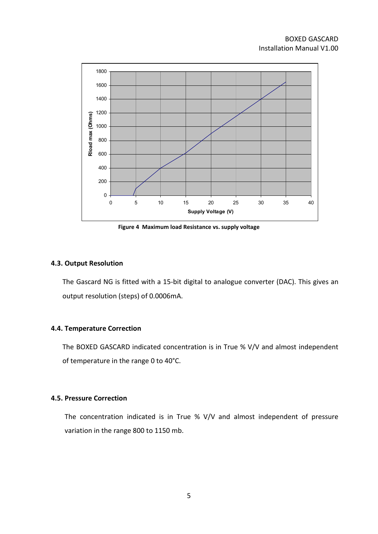

Figure 4 Maximum load Resistance vs. supply voltage

#### 4.3. Output Resolution

The Gascard NG is fitted with a 15-bit digital to analogue converter (DAC). This gives an output resolution (steps) of 0.0006mA.

#### 4.4. Temperature Correction

The BOXED GASCARD indicated concentration is in True % V/V and almost independent of temperature in the range 0 to 40°C.

#### 4.5. Pressure Correction

The concentration indicated is in True % V/V and almost independent of pressure variation in the range 800 to 1150 mb.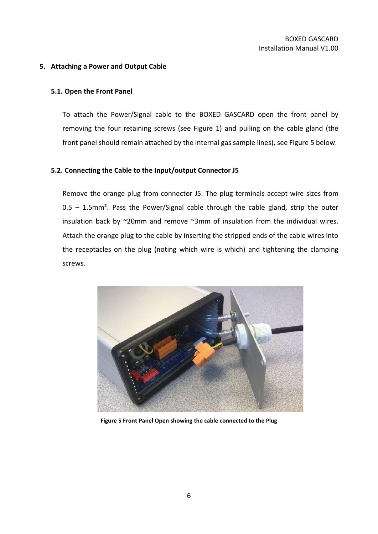#### 5. Attaching a Power and Output Cable

#### 5.1. Open the Front Panel

To attach the Power/Signal cable to the BOXED GASCARD open the front panel by removing the four retaining screws (see Figure 1) and pulling on the cable gland (the front panel should remain attached by the internal gas sample lines), see Figure 5 below.

#### 5.2. Connecting the Cable to the Input/output Connector J5

Remove the orange plug from connector J5. The plug terminals accept wire sizes from  $0.5 - 1.5$ mm<sup>2</sup>. Pass the Power/Signal cable through the cable gland, strip the outer insulation back by ~20mm and remove ~3mm of insulation from the individual wires. Attach the orange plug to the cable by inserting the stripped ends of the cable wires into the receptacles on the plug (noting which wire is which) and tightening the clamping screws.



Figure 5 Front Panel Open showing the cable connected to the Plug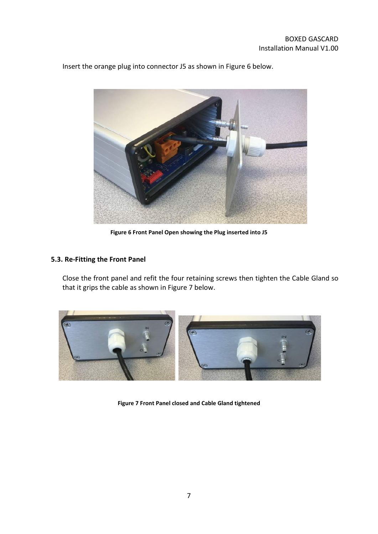

Insert the orange plug into connector J5 as shown in Figure 6 below.

Figure 6 Front Panel Open showing the Plug inserted into J5

#### 5.3. Re-Fitting the Front Panel

Close the front panel and refit the four retaining screws then tighten the Cable Gland so that it grips the cable as shown in Figure 7 below.



Figure 7 Front Panel closed and Cable Gland tightened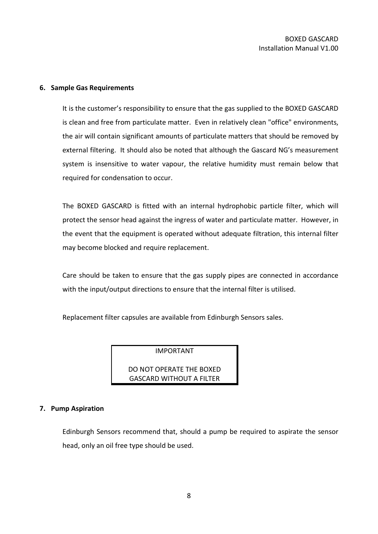#### 6. Sample Gas Requirements

It is the customer's responsibility to ensure that the gas supplied to the BOXED GASCARD is clean and free from particulate matter. Even in relatively clean "office" environments, the air will contain significant amounts of particulate matters that should be removed by external filtering. It should also be noted that although the Gascard NG's measurement system is insensitive to water vapour, the relative humidity must remain below that required for condensation to occur.

The BOXED GASCARD is fitted with an internal hydrophobic particle filter, which will protect the sensor head against the ingress of water and particulate matter. However, in the event that the equipment is operated without adequate filtration, this internal filter may become blocked and require replacement.

Care should be taken to ensure that the gas supply pipes are connected in accordance with the input/output directions to ensure that the internal filter is utilised.

Replacement filter capsules are available from Edinburgh Sensors sales.

IMPORTANT

DO NOT OPERATE THE BOXED GASCARD WITHOUT A FILTER

#### 7. Pump Aspiration

Edinburgh Sensors recommend that, should a pump be required to aspirate the sensor head, only an oil free type should be used.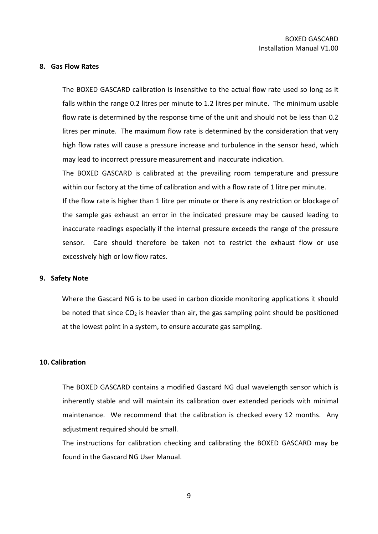#### 8. Gas Flow Rates

The BOXED GASCARD calibration is insensitive to the actual flow rate used so long as it falls within the range 0.2 litres per minute to 1.2 litres per minute. The minimum usable flow rate is determined by the response time of the unit and should not be less than 0.2 litres per minute. The maximum flow rate is determined by the consideration that very high flow rates will cause a pressure increase and turbulence in the sensor head, which may lead to incorrect pressure measurement and inaccurate indication.

The BOXED GASCARD is calibrated at the prevailing room temperature and pressure within our factory at the time of calibration and with a flow rate of 1 litre per minute.

If the flow rate is higher than 1 litre per minute or there is any restriction or blockage of the sample gas exhaust an error in the indicated pressure may be caused leading to inaccurate readings especially if the internal pressure exceeds the range of the pressure sensor. Care should therefore be taken not to restrict the exhaust flow or use excessively high or low flow rates.

#### 9. Safety Note

Where the Gascard NG is to be used in carbon dioxide monitoring applications it should be noted that since  $CO<sub>2</sub>$  is heavier than air, the gas sampling point should be positioned at the lowest point in a system, to ensure accurate gas sampling.

#### 10. Calibration

The BOXED GASCARD contains a modified Gascard NG dual wavelength sensor which is inherently stable and will maintain its calibration over extended periods with minimal maintenance. We recommend that the calibration is checked every 12 months. Any adjustment required should be small.

The instructions for calibration checking and calibrating the BOXED GASCARD may be found in the Gascard NG User Manual.

9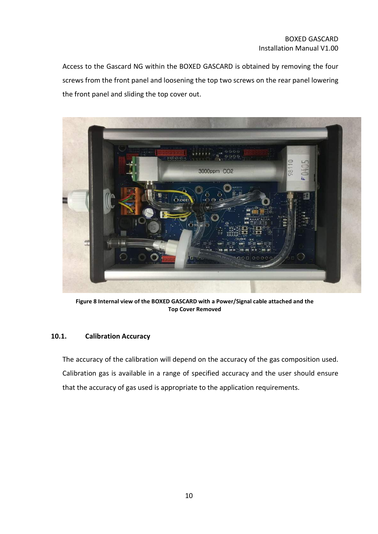Access to the Gascard NG within the BOXED GASCARD is obtained by removing the four screws from the front panel and loosening the top two screws on the rear panel lowering the front panel and sliding the top cover out.



Figure 8 Internal view of the BOXED GASCARD with a Power/Signal cable attached and the Top Cover Removed

#### 10.1. Calibration Accuracy

The accuracy of the calibration will depend on the accuracy of the gas composition used. Calibration gas is available in a range of specified accuracy and the user should ensure that the accuracy of gas used is appropriate to the application requirements.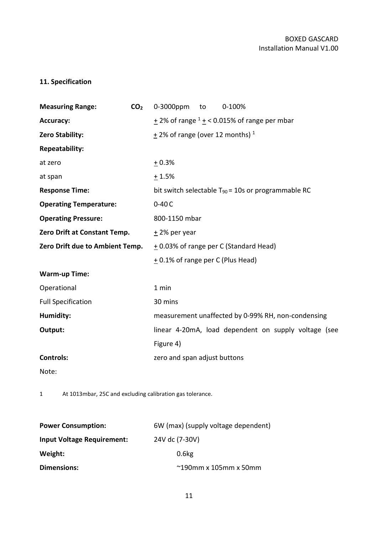## 11. Specification

| <b>Measuring Range:</b>         | CO <sub>2</sub> | 0-3000ppm<br>0-100%<br>to                               |
|---------------------------------|-----------------|---------------------------------------------------------|
| <b>Accuracy:</b>                |                 | $\pm$ 2% of range $1\pm$ < 0.015% of range per mbar     |
| Zero Stability:                 |                 | $\pm$ 2% of range (over 12 months) <sup>1</sup>         |
| <b>Repeatability:</b>           |                 |                                                         |
| at zero                         |                 | $+0.3%$                                                 |
| at span                         |                 | $+1.5%$                                                 |
| <b>Response Time:</b>           |                 | bit switch selectable $T_{90}$ = 10s or programmable RC |
| <b>Operating Temperature:</b>   |                 | $0-40C$                                                 |
| <b>Operating Pressure:</b>      |                 | 800-1150 mbar                                           |
| Zero Drift at Constant Temp.    |                 | $±$ 2% per year                                         |
| Zero Drift due to Ambient Temp. |                 | $\pm$ 0.03% of range per C (Standard Head)              |
|                                 |                 | + 0.1% of range per C (Plus Head)                       |
| <b>Warm-up Time:</b>            |                 |                                                         |
| Operational                     |                 | 1 min                                                   |
| <b>Full Specification</b>       |                 | 30 mins                                                 |
| Humidity:                       |                 | measurement unaffected by 0-99% RH, non-condensing      |
| Output:                         |                 | linear 4-20mA, load dependent on supply voltage (see    |
|                                 |                 | Figure 4)                                               |
| <b>Controls:</b>                |                 | zero and span adjust buttons                            |
| <b>ALL</b>                      |                 |                                                         |

Note:

1 At 1013mbar, 25C and excluding calibration gas tolerance.

| <b>Power Consumption:</b>         | 6W (max) (supply voltage dependent) |
|-----------------------------------|-------------------------------------|
| <b>Input Voltage Requirement:</b> | 24V dc (7-30V)                      |
| Weight:                           | $0.6$ <sub>kg</sub>                 |
| <b>Dimensions:</b>                | $~\sim$ 190mm x 105mm x 50mm        |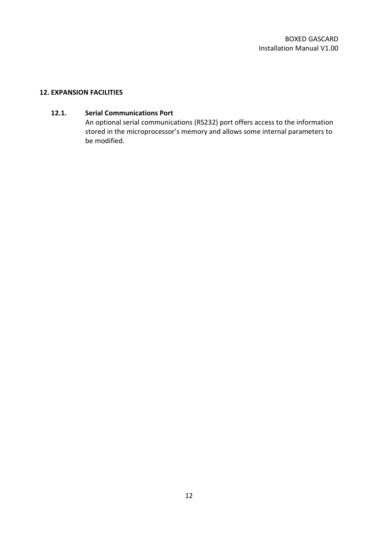#### 12. EXPANSION FACILITIES

#### 12.1. Serial Communications Port

An optional serial communications (RS232) port offers access to the information stored in the microprocessor's memory and allows some internal parameters to be modified.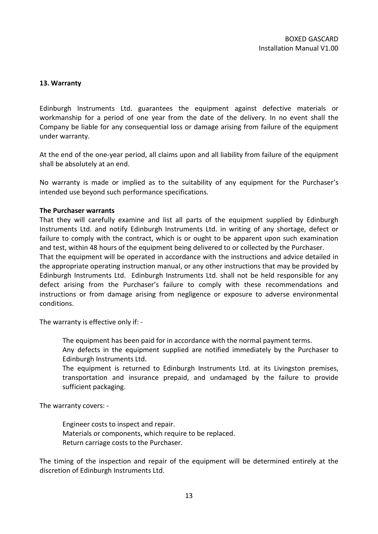#### 13. Warranty

Edinburgh Instruments Ltd. guarantees the equipment against defective materials or workmanship for a period of one year from the date of the delivery. In no event shall the Company be liable for any consequential loss or damage arising from failure of the equipment under warranty.

At the end of the one-year period, all claims upon and all liability from failure of the equipment shall be absolutely at an end.

No warranty is made or implied as to the suitability of any equipment for the Purchaser's intended use beyond such performance specifications.

#### The Purchaser warrants

That they will carefully examine and list all parts of the equipment supplied by Edinburgh Instruments Ltd. and notify Edinburgh Instruments Ltd. in writing of any shortage, defect or failure to comply with the contract, which is or ought to be apparent upon such examination and test, within 48 hours of the equipment being delivered to or collected by the Purchaser.

That the equipment will be operated in accordance with the instructions and advice detailed in the appropriate operating instruction manual, or any other instructions that may be provided by Edinburgh Instruments Ltd. Edinburgh Instruments Ltd. shall not be held responsible for any defect arising from the Purchaser's failure to comply with these recommendations and instructions or from damage arising from negligence or exposure to adverse environmental conditions.

The warranty is effective only if: -

The equipment has been paid for in accordance with the normal payment terms.

Any defects in the equipment supplied are notified immediately by the Purchaser to Edinburgh Instruments Ltd.

The equipment is returned to Edinburgh Instruments Ltd. at its Livingston premises, transportation and insurance prepaid, and undamaged by the failure to provide sufficient packaging.

The warranty covers: -

Engineer costs to inspect and repair. Materials or components, which require to be replaced. Return carriage costs to the Purchaser.

The timing of the inspection and repair of the equipment will be determined entirely at the discretion of Edinburgh Instruments Ltd.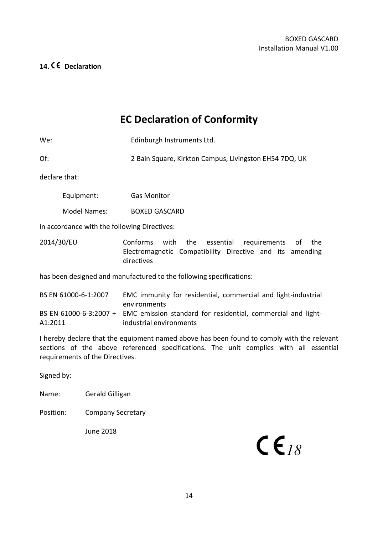## 14. CE Declaration

## EC Declaration of Conformity

| We: | Edinburgh Instruments Ltd.                             |
|-----|--------------------------------------------------------|
| Of: | 2 Bain Square, Kirkton Campus, Livingston EH54 7DQ, UK |

declare that:

Equipment: Gas Monitor

Model Names: BOXED GASCARD

in accordance with the following Directives:

2014/30/EU Conforms with the essential requirements of the Electromagnetic Compatibility Directive and its amending directives

has been designed and manufactured to the following specifications:

| BS EN 61000-6-1:2007 | EMC immunity for residential, commercial and light-industrial                       |
|----------------------|-------------------------------------------------------------------------------------|
|                      | environments                                                                        |
|                      | BS EN 61000-6-3:2007 + EMC emission standard for residential, commercial and light- |
| A1:2011              | industrial environments                                                             |

I hereby declare that the equipment named above has been found to comply with the relevant sections of the above referenced specifications. The unit complies with all essential requirements of the Directives.

Signed by:

Name: Gerald Gilligan

Position: Company Secretary

June 2018

 $CE_{18}$